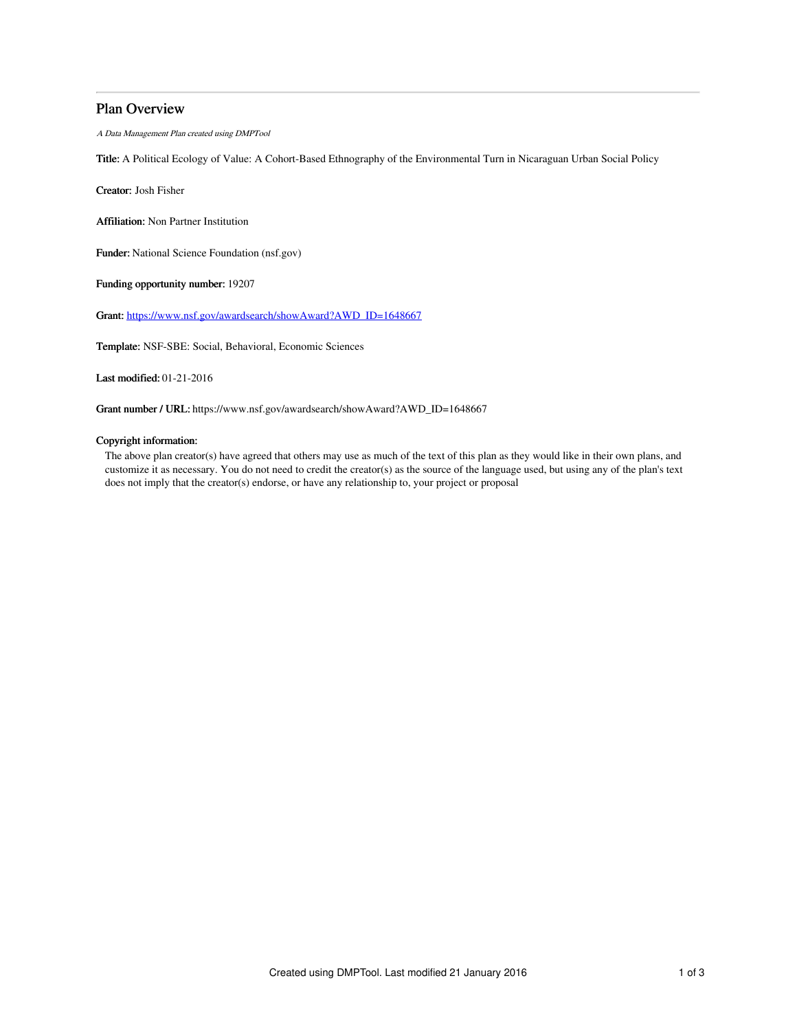# Plan Overview

A Data Management Plan created using DMPTool

Title: A Political Ecology of Value: A Cohort-Based Ethnography of the Environmental Turn in Nicaraguan Urban Social Policy

Creator: Josh Fisher

Affiliation: Non Partner Institution

Funder: National Science Foundation (nsf.gov)

Funding opportunity number: 19207

Grant: [https://www.nsf.gov/awardsearch/showAward?AWD\\_ID=1648667](https://www.nsf.gov/awardsearch/showAward?AWD_ID=1648667)

Template: NSF-SBE: Social, Behavioral, Economic Sciences

Last modified: 01-21-2016

Grant number / URL: https://www.nsf.gov/awardsearch/showAward?AWD\_ID=1648667

## Copyright information:

The above plan creator(s) have agreed that others may use as much of the text of this plan as they would like in their own plans, and customize it as necessary. You do not need to credit the creator(s) as the source of the language used, but using any of the plan's text does not imply that the creator(s) endorse, or have any relationship to, your project or proposal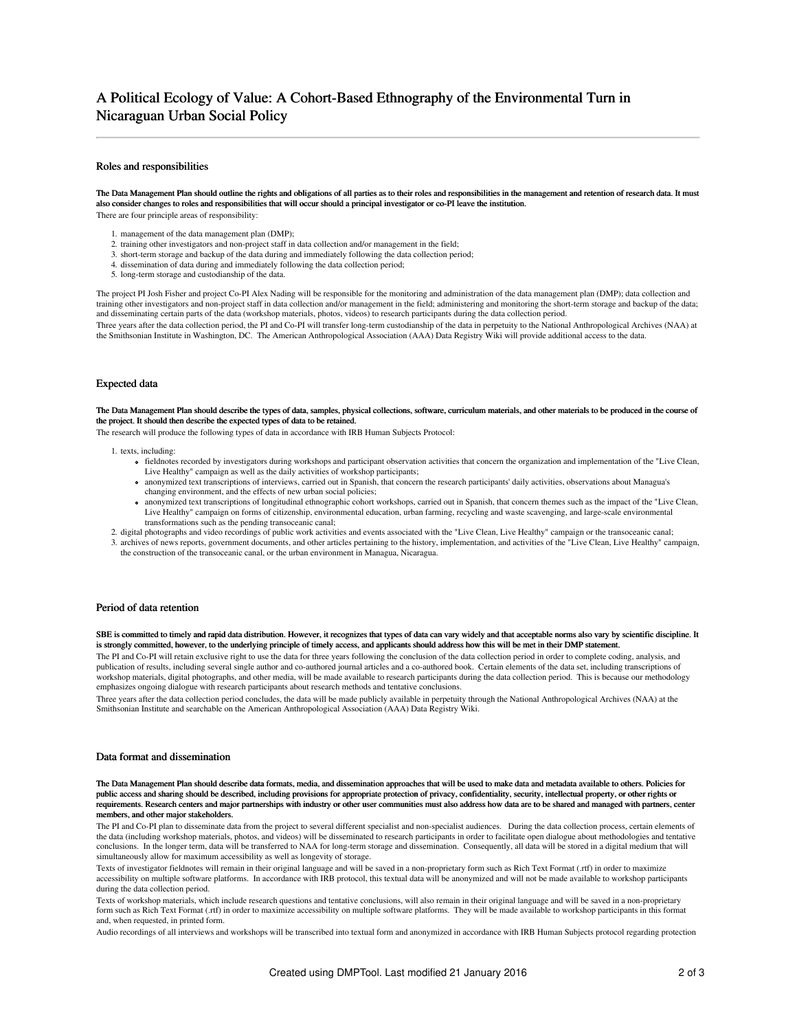## Roles and responsibilities

The Data Management Plan should outline the rights and obligations of all parties as to their roles and responsibilities in the management and retention of research data. It must also consider changes to roles and responsibilities that will occur should a principal investigator or co-PI leave the institution.

There are four principle areas of responsibility:

- 1. management of the data management plan (DMP);
- 2. training other investigators and non-project staff in data collection and/or management in the field;
- 3. short-term storage and backup of the data during and immediately following the data collection period;
- 4. dissemination of data during and immediately following the data collection period;
- 5. long-term storage and custodianship of the data.

The project PI Josh Fisher and project Co-PI Alex Nading will be responsible for the monitoring and administration of the data management plan (DMP); data collection and training other investigators and non-project staff in data collection and/or management in the field; administering and monitoring the short-term storage and backup of the data; and disseminating certain parts of the data (workshop materials, photos, videos) to research participants during the data collection period.

Three years after the data collection period, the PI and Co-PI will transfer long-term custodianship of the data in perpetuity to the National Anthropological Archives (NAA) at the Smithsonian Institute in Washington, DC. The American Anthropological Association (AAA) Data Registry Wiki will provide additional access to the data

#### Expected data

The Data Management Plan should describe the types of data, samples, physical collections, software, curriculum materials, and other materials to be produced in the course of the project. It should then describe the expected types of data to be retained.

The research will produce the following types of data in accordance with IRB Human Subjects Protocol:

#### 1. texts, including:

- fieldnotes recorded by investigators during workshops and participant observation activities that concern the organization and implementation of the "Live Clean, Live Healthy" campaign as well as the daily activities of workshop participants;
- anonymized text transcriptions of interviews, carried out in Spanish, that concern the research participants' daily activities, observations about Managua's changing environment, and the effects of new urban social policies;
- anonymized text transcriptions of longitudinal ethnographic cohort workshops, carried out in Spanish, that concern themes such as the impact of the "Live Clean, Live Healthy" campaign on forms of citizenship, environmental education, urban farming, recycling and waste scavenging, and large-scale environmental transformations such as the pending transoceanic canal;
- 2. digital photographs and video recordings of public work activities and events associated with the "Live Clean, Live Healthy" campaign or the transoceanic canal;
- 3. archives of news reports, government documents, and other articles pertaining to the history, implementation, and activities of the "Live Clean, Live Healthy" campaign, the construction of the transoceanic canal, or the urban environment in Managua, Nicaragua.

## Period of data retention

#### SBE is committed to timely and rapid data distribution. However, it recognizes that types of data can vary widely and that acceptable norms also vary by scientific discipline. It is strongly committed, however, to the underlying principle of timely access, and applicants should address how this will be met in their DMP staten

The PI and Co-PI will retain exclusive right to use the data for three years following the conclusion of the data collection period in order to complete coding, analysis, and publication of results, including several single author and co-authored journal articles and a co-authored book. Certain elements of the data set, including transcriptions of workshop materials, digital photographs, and other media, will be made available to research participants during the data collection period. This is because our methodology emphasizes ongoing dialogue with research participants about research methods and tentative conclusions.

Three years after the data collection period concludes, the data will be made publicly available in perpetuity through the National Anthropological Archives (NAA) at the Smithsonian Institute and searchable on the American Anthropological Association (AAA) Data Registry Wiki.

#### Data format and dissemination

The Data Management Plan should describe data formats, media, and dissemination approaches that will be used to make data and metadata available to others. Policies for public access and sharing should be described, including provisions for appropriate protection of privacy, confidentiality, security, intellectual property, or other rights or requirements. Research centers and major partnerships with industry or other user communities must also address how data are to be shared and managed with partners, center members, and other major stakeholders.

The PI and Co-PI plan to disseminate data from the project to several different specialist and non-specialist audiences. During the data collection process, certain elements of the data (including workshop materials, photos, and videos) will be disseminated to research participants in order to facilitate open dialogue about methodologies and tentative conclusions. In the longer term, data will be transferred to NAA for long-term storage and dissemination. Consequently, all data will be stored in a digital medium that will simultaneously allow for maximum accessibility as well as longevity of storage.

Texts of investigator fieldnotes will remain in their original language and will be saved in a non-proprietary form such as Rich Text Format (.rtf) in order to maximize accessibility on multiple software platforms. In accordance with IRB protocol, this textual data will be anonymized and will not be made available to workshop participants during the data collection period.

Texts of workshop materials, which include research questions and tentative conclusions, will also remain in their original language and will be saved in a non-proprietary form such as Rich Text Format (.rtf) in order to maximize accessibility on multiple software platforms. They will be made available to workshop participants in this format and, when requested, in printed form.

Audio recordings of all interviews and workshops will be transcribed into textual form and anonymized in accordance with IRB Human Subjects protocol regarding protection